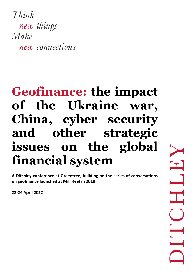Think new things Make new connections

# **Geofinance: the impact of the Ukraine war, China, cyber security and other strategic issues on the global financial system**

**A Ditchley conference at Greentree, building on the series of conversations on geofinance launched at Mill Reef in 2019**

**22-24 April 2022**

 $\mathbf{T}$  $\frac{1}{\sqrt{1-\frac{1}{2}}}$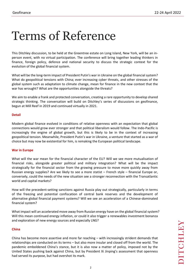# Terms of Reference

This Ditchley discussion, to be held at the Greentree estate on Long Island, New York, will be an inperson event, with no virtual participation. The conference will bring together leading thinkers in finance, foreign policy, defence and national security to discuss the strategic context for the evolution of the global financial system.

What will be the long-term impact of President Putin's war in Ukraine on the global financial system? What do geopolitical tensions with China; ever increasing cyber threats, and other stresses of the global system such as adaptation to climate change, mean for finance in the new context that the war has wrought? What are the opportunities alongside the threats?

We aim to enable a frank and protected conversation, creating a rare opportunity to develop shared strategic thinking. The conversation will build on Ditchley's series of discussions on geofinance, begun at Mill Reef in 2019 and continued virtually in 2021.

#### **Detail**

Modern global finance evolved in conditions of relative openness with an expectation that global connections would grow ever stronger and that political liberalism would follow. The Indo-Pacific is increasingly the engine of global growth, but this is likely to be in the context of increasing geopolitical tension. Meanwhile, President Putin's war in Ukraine, a venture that started as a war of choice but may now be existential for him, is remaking the European political landscape.

#### **War in Europe**

What will the war mean for the financial character of the EU? Will we see more mutualisation of financial risks, alongside greater political and military integration? What will be the impact strategically for the financial sector from the growing pressure to move more quickly away from Russian energy supplies? Are we likely to see a more statist – French style – financial Europe or, conversely, could the needs of the new situation see a stronger reconnection with the Transatlantic world and capital markets?

How will the precedent-setting sanctions against Russia play out strategically, particularly in terms of the freezing and potential confiscation of central bank reserves and the development of alternative global financial payment systems? Will we see an acceleration of a Chinese-dominated financial system?

What impact will an accelerated move away from Russian energy have on the global financial system? Will this mean continued energy inflation, or could it also trigger a renewables investment bonanza and exploration of new energy sources and especially LNG?

#### **China**

China has become more assertive and more far reaching – with increasingly strident demands that relationships are conducted on its terms – but also more insular and closed off from the world. The pandemic emboldened China's stance, but it is also now a matter of policy, imposed not by the United States pushing back against China, but by President Xi Jinping's assessment that openness had served its purpose, but had overshot its mark.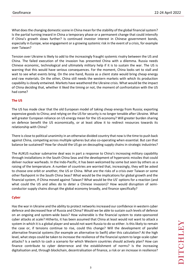What does the changing domestic scene in China mean for the stability of the global financial system? Is the partial turning inward in China a temporary phase or a permanent change that could intensify if China's growth slows further? Is continued investor interest in Chinese government bonds, especially in Europe, wise engagement or a growing systemic risk in the event of a crisis, for example over Taiwan?

Tension over Ukraine is likely to add to the increasingly fraught systemic rivalry between the US and China. The failed execution of the invasion has presented China with a dilemma. Russia needs Chinese economic, technological and ultimately military help if it is to sustain the war. The US is warning that this would have serious consequences. For the moment, China looks set to stall and wait to see what events bring. On the one hand, Russia as a client state would bring cheap energy and raw materials. On the other, China still needs the western markets with which its production capability is closely entwined. Markets have weathered the Ukraine crisis. What would be the impact of China deciding that, whether it liked the timing or not, the moment of confrontation with the US had come?

## **The US**

The US has made clear that the old European model of taking cheap energy from Russia; exporting expensive goods to China; and relying on the US for security is no longer tenable after Ukraine. What will greater European reliance on US energy mean for the US economy? Will greater burden sharing on defence benefit the US economically, or at least allow it to redirect resources towards its relationship with China?

There is close to political unanimity in an otherwise divided country that now is the time to push back against China, competing across multiple spheres but also co-operating when essential. But can that balance be sustained? How far should the US go on decoupling supply chains in strategic industries?

The AUKUS nuclear submarine deal was in part a response to China's increasing military capability through installations in the South China Seas and the development of hypersonic missiles that could deliver nuclear warheads. In the Indo-Pacific, it has been welcomed by some but seen by others as a raising of the temperature. A number of countries are worried that, increasingly, they will be asked to choose one orbit or another, the US or China. What are the risks of a crisis over Taiwan or some other flashpoint in the South China Seas? What would be the implications for global growth and the financial system, if China moved against Taiwan? What would be the US' options for a reaction (and what could the US and allies do to deter a Chinese invasion)? How would disruption of semiconductor supply chains disrupt the global economy broadly, and finance specifically?

#### **Cyber**

Has the war in Ukraine and the ability to protect networks increased our confidence in western cyber defence and decreased fear of Russia and China? Would we be able to sustain such levels of defence on an ongoing and system-wide basis? How vulnerable is the financial system to state-sponsored cyber attacks at scale? Hitherto, it has been assumed that China at least would not want to attack a system in which it is a global player and would not want Russia to do so either. Is this likely to remain the case or, if tensions continue to rise, could this change? Will the development of parallel alternative financial systems (for example an alternative to Swift) alter this calculation? At the high level, what steps could be taken to increase the resilience of the financial system to large-scale cyber attacks? Is a switch to cash a scenario for which Western countries should actively plan? How can finance contribute to cyber deterrence and the establishment of norms? Is the increasing digitalisation and, through blockchain, decentralisation of finance, a risk or an increase in resilience?